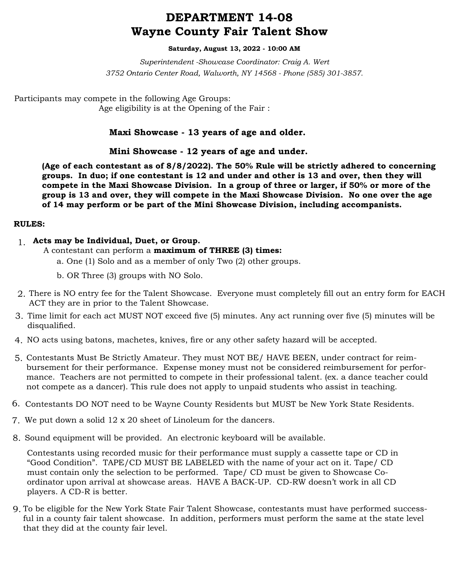## **DEPARTMENT 14-08 Wayne County Fair Talent Show**

#### **Saturday, August 13, 2022 - 10:00 AM**

*Superintendent -Showcase Coordinator: Craig A. Wert 3752 Ontario Center Road, Walworth, NY 14568 - Phone (585) 301-3857.*

Participants may compete in the following Age Groups: Age eligibility is at the Opening of the Fair :

## **Maxi Showcase - 13 years of age and older.**

### **Mini Showcase - 12 years of age and under.**

**(Age of each contestant as of 8/8/2022). The 50% Rule will be strictly adhered to concerning groups. In duo; if one contestant is 12 and under and other is 13 and over, then they will compete in the Maxi Showcase Division. In a group of three or larger, if 50% or more of the group is 13 and over, they will compete in the Maxi Showcase Division. No one over the age of 14 may perform or be part of the Mini Showcase Division, including accompanists.**

#### **RULES:**

- **Acts may be Individual, Duet, or Group.** 1.
	- A contestant can perform a **maximum of THREE (3) times:**
		- a. One (1) Solo and as a member of only Two (2) other groups.
		- b. OR Three (3) groups with NO Solo.
- There is NO entry fee for the Talent Showcase. Everyone must completely fill out an entry form for EACH 2. ACT they are in prior to the Talent Showcase.
- Time limit for each act MUST NOT exceed five (5) minutes. Any act running over five (5) minutes will be 3. disqualified.
- NO acts using batons, machetes, knives, fire or any other safety hazard will be accepted. 4.
- 5. Contestants Must Be Strictly Amateur. They must NOT BE/ HAVE BEEN, under contract for reimbursement for their performance. Expense money must not be considered reimbursement for performance. Teachers are not permitted to compete in their professional talent. (ex. a dance teacher could not compete as a dancer). This rule does not apply to unpaid students who assist in teaching.
- 6. Contestants DO NOT need to be Wayne County Residents but MUST be New York State Residents.
- We put down a solid 12 x 20 sheet of Linoleum for the dancers. 7.
- 8. Sound equipment will be provided. An electronic keyboard will be available.

Contestants using recorded music for their performance must supply a cassette tape or CD in "Good Condition". TAPE/CD MUST BE LABELED with the name of your act on it. Tape/ CD must contain only the selection to be performed. Tape/ CD must be given to Showcase Coordinator upon arrival at showcase areas. HAVE A BACK-UP. CD-RW doesn't work in all CD players. A CD-R is better.

To be eligible for the New York State Fair Talent Showcase, contestants must have performed success-9. ful in a county fair talent showcase. In addition, performers must perform the same at the state level that they did at the county fair level.